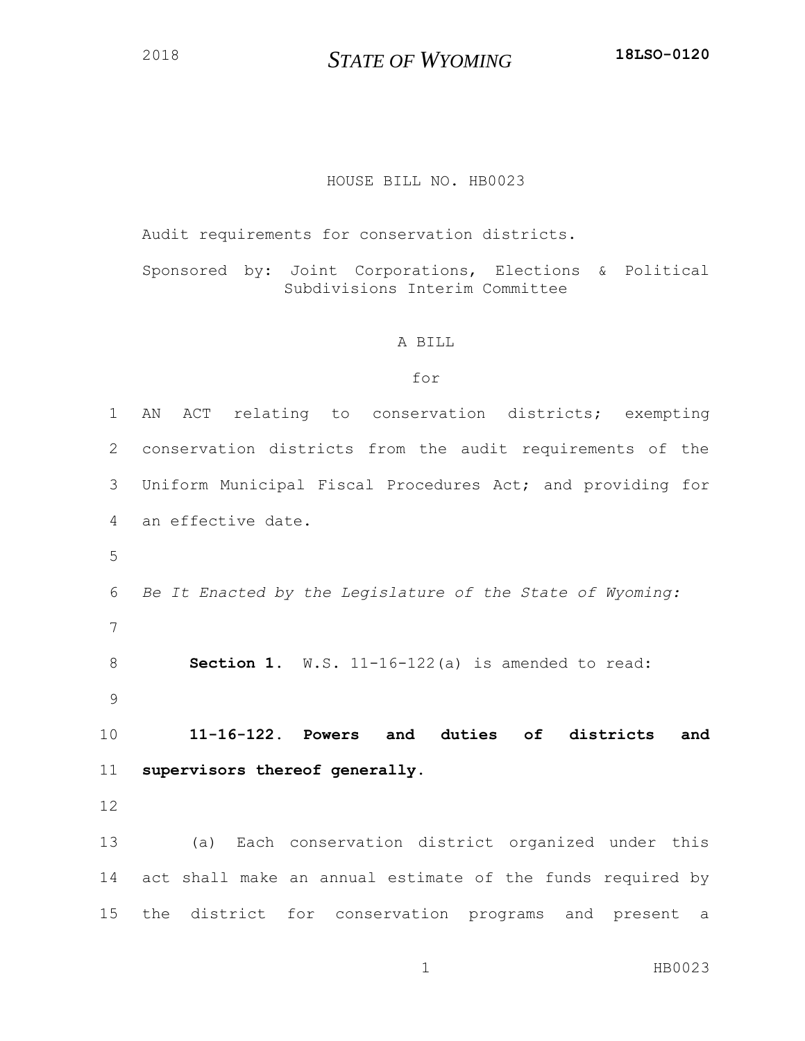*STATE OF WYOMING* **18LSO-0120**

## HOUSE BILL NO. HB0023

Audit requirements for conservation districts.

Sponsored by: Joint Corporations, Elections & Political Subdivisions Interim Committee

## A BILL

## for

| $\mathbf 1$ | ACT relating to conservation districts; exempting<br>AN    |
|-------------|------------------------------------------------------------|
| 2           | conservation districts from the audit requirements of the  |
| 3           | Uniform Municipal Fiscal Procedures Act; and providing for |
| 4           | an effective date.                                         |
| 5           |                                                            |
| 6           | Be It Enacted by the Legislature of the State of Wyoming:  |
| 7           |                                                            |
| 8           | Section 1. W.S. 11-16-122(a) is amended to read:           |
| 9           |                                                            |
| 10          | 11-16-122. Powers and duties of districts<br>and           |
| 11          | supervisors thereof generally.                             |
| 12          |                                                            |
|             |                                                            |
| 13          | (a) Each conservation district organized under this        |
| 14          | act shall make an annual estimate of the funds required by |